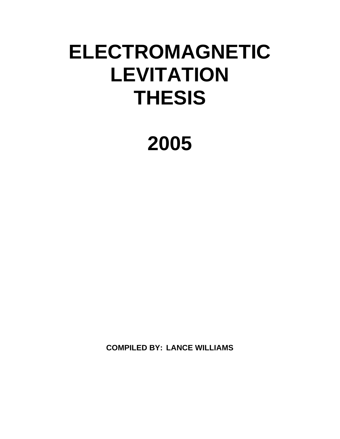# **ELECTROMAGNETIC LEVITATION THESIS**

**2005** 

**COMPILED BY: LANCE WILLIAMS**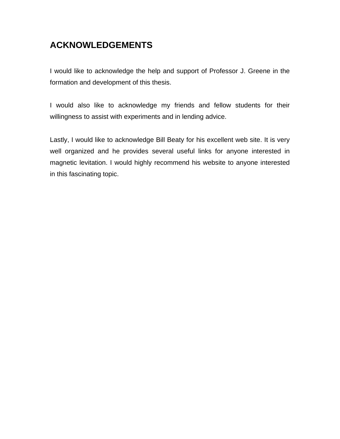# **ACKNOWLEDGEMENTS**

I would like to acknowledge the help and support of Professor J. Greene in the formation and development of this thesis.

I would also like to acknowledge my friends and fellow students for their willingness to assist with experiments and in lending advice.

Lastly, I would like to acknowledge Bill Beaty for his excellent web site. It is very well organized and he provides several useful links for anyone interested in magnetic levitation. I would highly recommend his website to anyone interested in this fascinating topic.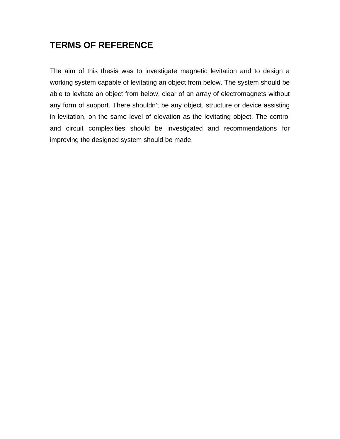## **TERMS OF REFERENCE**

The aim of this thesis was to investigate magnetic levitation and to design a working system capable of levitating an object from below. The system should be able to levitate an object from below, clear of an array of electromagnets without any form of support. There shouldn't be any object, structure or device assisting in levitation, on the same level of elevation as the levitating object. The control and circuit complexities should be investigated and recommendations for improving the designed system should be made.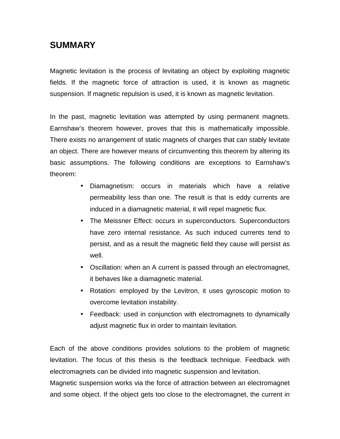## **SUMMARY**

Magnetic levitation is the process of levitating an object by exploiting magnetic fields. If the magnetic force of attraction is used, it is known as magnetic suspension. If magnetic repulsion is used, it is known as magnetic levitation.

In the past, magnetic levitation was attempted by using permanent magnets. Earnshaw's theorem however, proves that this is mathematically impossible. There exists no arrangement of static magnets of charges that can stably levitate an object. There are however means of circumventing this theorem by altering its basic assumptions. The following conditions are exceptions to Earnshaw's theorem:

- Diamagnetism: occurs in materials which have a relative permeability less than one. The result is that is eddy currents are induced in a diamagnetic material, it will repel magnetic flux.
- The Meissner Effect: occurs in superconductors. Superconductors have zero internal resistance. As such induced currents tend to persist, and as a result the magnetic field they cause will persist as well.
- Oscillation: when an A current is passed through an electromagnet, it behaves like a diamagnetic material.
- Rotation: employed by the Levitron, it uses gyroscopic motion to overcome levitation instability.
- Feedback: used in conjunction with electromagnets to dynamically adjust magnetic flux in order to maintain levitation.

Each of the above conditions provides solutions to the problem of magnetic levitation. The focus of this thesis is the feedback technique. Feedback with electromagnets can be divided into magnetic suspension and levitation.

Magnetic suspension works via the force of attraction between an electromagnet and some object. If the object gets too close to the electromagnet, the current in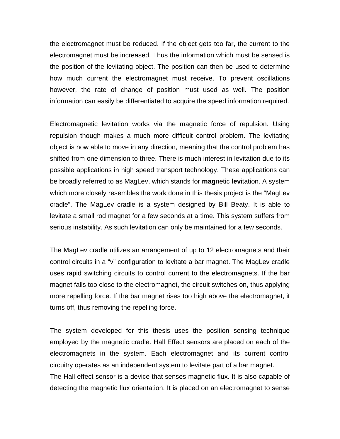the electromagnet must be reduced. If the object gets too far, the current to the electromagnet must be increased. Thus the information which must be sensed is the position of the levitating object. The position can then be used to determine how much current the electromagnet must receive. To prevent oscillations however, the rate of change of position must used as well. The position information can easily be differentiated to acquire the speed information required.

Electromagnetic levitation works via the magnetic force of repulsion. Using repulsion though makes a much more difficult control problem. The levitating object is now able to move in any direction, meaning that the control problem has shifted from one dimension to three. There is much interest in levitation due to its possible applications in high speed transport technology. These applications can be broadly referred to as MagLev, which stands for **mag**netic **lev**itation. A system which more closely resembles the work done in this thesis project is the "MagLev cradle". The MagLev cradle is a system designed by Bill Beaty. It is able to levitate a small rod magnet for a few seconds at a time. This system suffers from serious instability. As such levitation can only be maintained for a few seconds.

The MagLev cradle utilizes an arrangement of up to 12 electromagnets and their control circuits in a "v" configuration to levitate a bar magnet. The MagLev cradle uses rapid switching circuits to control current to the electromagnets. If the bar magnet falls too close to the electromagnet, the circuit switches on, thus applying more repelling force. If the bar magnet rises too high above the electromagnet, it turns off, thus removing the repelling force.

The system developed for this thesis uses the position sensing technique employed by the magnetic cradle. Hall Effect sensors are placed on each of the electromagnets in the system. Each electromagnet and its current control circuitry operates as an independent system to levitate part of a bar magnet. The Hall effect sensor is a device that senses magnetic flux. It is also capable of detecting the magnetic flux orientation. It is placed on an electromagnet to sense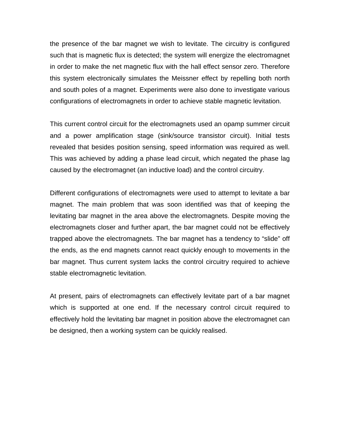the presence of the bar magnet we wish to levitate. The circuitry is configured such that is magnetic flux is detected; the system will energize the electromagnet in order to make the net magnetic flux with the hall effect sensor zero. Therefore this system electronically simulates the Meissner effect by repelling both north and south poles of a magnet. Experiments were also done to investigate various configurations of electromagnets in order to achieve stable magnetic levitation.

This current control circuit for the electromagnets used an opamp summer circuit and a power amplification stage (sink/source transistor circuit). Initial tests revealed that besides position sensing, speed information was required as well. This was achieved by adding a phase lead circuit, which negated the phase lag caused by the electromagnet (an inductive load) and the control circuitry.

Different configurations of electromagnets were used to attempt to levitate a bar magnet. The main problem that was soon identified was that of keeping the levitating bar magnet in the area above the electromagnets. Despite moving the electromagnets closer and further apart, the bar magnet could not be effectively trapped above the electromagnets. The bar magnet has a tendency to "slide" off the ends, as the end magnets cannot react quickly enough to movements in the bar magnet. Thus current system lacks the control circuitry required to achieve stable electromagnetic levitation.

At present, pairs of electromagnets can effectively levitate part of a bar magnet which is supported at one end. If the necessary control circuit required to effectively hold the levitating bar magnet in position above the electromagnet can be designed, then a working system can be quickly realised.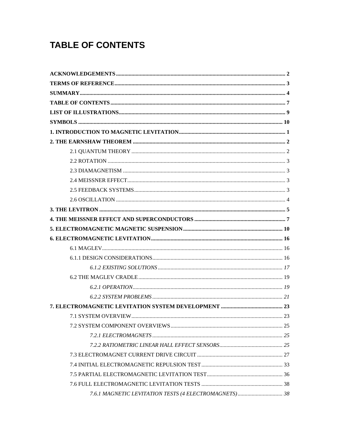# **TABLE OF CONTENTS**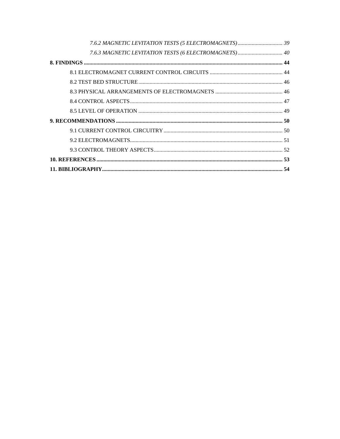| 7.6.3 MAGNETIC LEVITATION TESTS (6 ELECTROMAGNETS) 40 |  |
|-------------------------------------------------------|--|
|                                                       |  |
|                                                       |  |
|                                                       |  |
|                                                       |  |
|                                                       |  |
|                                                       |  |
|                                                       |  |
|                                                       |  |
|                                                       |  |
|                                                       |  |
|                                                       |  |
|                                                       |  |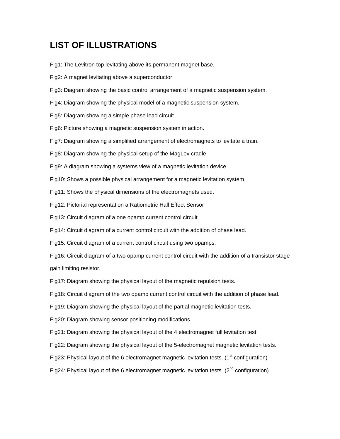## **LIST OF ILLUSTRATIONS**

Fig1: The Levitron top levitating above its permanent magnet base.

- Fig2: A magnet levitating above a superconductor
- Fig3: Diagram showing the basic control arrangement of a magnetic suspension system.
- Fig4: Diagram showing the physical model of a magnetic suspension system.
- Fig5: Diagram showing a simple phase lead circuit
- Fig6: Picture showing a magnetic suspension system in action.
- Fig7: Diagram showing a simplified arrangement of electromagnets to levitate a train.
- Fig8: Diagram showing the physical setup of the MagLev cradle.
- Fig9: A diagram showing a systems view of a magnetic levitation device.
- Fig10: Shows a possible physical arrangement for a magnetic levitation system.
- Fig11: Shows the physical dimensions of the electromagnets used.
- Fig12: Pictorial representation a Ratiometric Hall Effect Sensor
- Fig13: Circuit diagram of a one opamp current control circuit
- Fig14: Circuit diagram of a current control circuit with the addition of phase lead.
- Fig15: Circuit diagram of a current control circuit using two opamps.
- Fig16: Circuit diagram of a two opamp current control circuit with the addition of a transistor stage gain limiting resistor.
- Fig17: Diagram showing the physical layout of the magnetic repulsion tests.
- Fig18: Circuit diagram of the two opamp current control circuit with the addition of phase lead.
- Fig19: Diagram showing the physical layout of the partial magnetic levitation tests.
- Fig20: Diagram showing sensor positioning modifications
- Fig21: Diagram showing the physical layout of the 4 electromagnet full levitation test.
- Fig22: Diagram showing the physical layout of the 5-electromagnet magnetic levitation tests.
- Fig23: Physical layout of the 6 electromagnet magnetic levitation tests.  $(1<sup>st</sup>$  configuration)
- Fig24: Physical layout of the 6 electromagnet magnetic levitation tests.  $(2^{nd}$  configuration)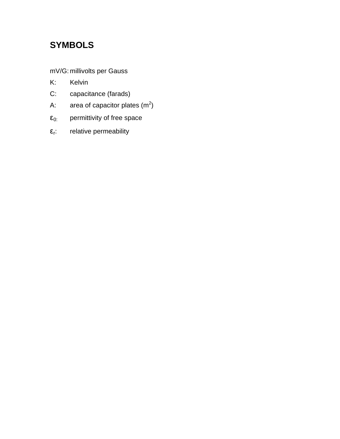# **SYMBOLS**

mV/G: millivolts per Gauss

- K: Kelvin
- C: capacitance (farads)
- A: area of capacitor plates  $(m^2)$
- $\epsilon_{0:}$  permittivity of free space
- $\epsilon_{\text{r}}$ : relative permeability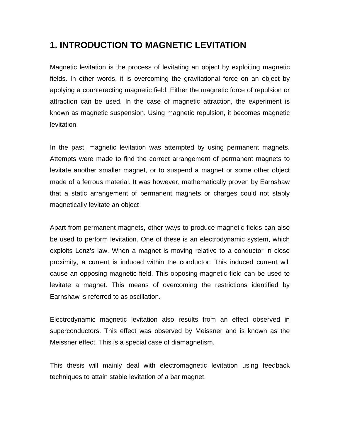## **1. INTRODUCTION TO MAGNETIC LEVITATION**

Magnetic levitation is the process of levitating an object by exploiting magnetic fields. In other words, it is overcoming the gravitational force on an object by applying a counteracting magnetic field. Either the magnetic force of repulsion or attraction can be used. In the case of magnetic attraction, the experiment is known as magnetic suspension. Using magnetic repulsion, it becomes magnetic levitation.

In the past, magnetic levitation was attempted by using permanent magnets. Attempts were made to find the correct arrangement of permanent magnets to levitate another smaller magnet, or to suspend a magnet or some other object made of a ferrous material. It was however, mathematically proven by Earnshaw that a static arrangement of permanent magnets or charges could not stably magnetically levitate an object

Apart from permanent magnets, other ways to produce magnetic fields can also be used to perform levitation. One of these is an electrodynamic system, which exploits Lenz's law. When a magnet is moving relative to a conductor in close proximity, a current is induced within the conductor. This induced current will cause an opposing magnetic field. This opposing magnetic field can be used to levitate a magnet. This means of overcoming the restrictions identified by Earnshaw is referred to as oscillation.

Electrodynamic magnetic levitation also results from an effect observed in superconductors. This effect was observed by Meissner and is known as the Meissner effect. This is a special case of diamagnetism.

This thesis will mainly deal with electromagnetic levitation using feedback techniques to attain stable levitation of a bar magnet.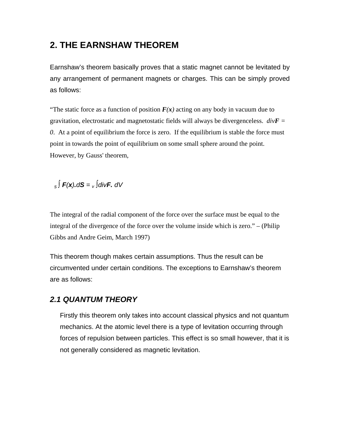## **2. THE EARNSHAW THEOREM**

Earnshaw's theorem basically proves that a static magnet cannot be levitated by any arrangement of permanent magnets or charges. This can be simply proved as follows:

"The static force as a function of position  $F(x)$  acting on any body in vacuum due to gravitation, electrostatic and magnetostatic fields will always be divergenceless. *divF = 0*. At a point of equilibrium the force is zero. If the equilibrium is stable the force must point in towards the point of equilibrium on some small sphere around the point. However, by Gauss' theorem,

<sup>s</sup>∫ **F**(**x**)**.**d**S** = <sup>v</sup> ∫div**F.** dV

The integral of the radial component of the force over the surface must be equal to the integral of the divergence of the force over the volume inside which is zero." – (Philip Gibbs and Andre Geim, March 1997)

This theorem though makes certain assumptions. Thus the result can be circumvented under certain conditions. The exceptions to Earnshaw's theorem are as follows:

#### **2.1 QUANTUM THEORY**

Firstly this theorem only takes into account classical physics and not quantum mechanics. At the atomic level there is a type of levitation occurring through forces of repulsion between particles. This effect is so small however, that it is not generally considered as magnetic levitation.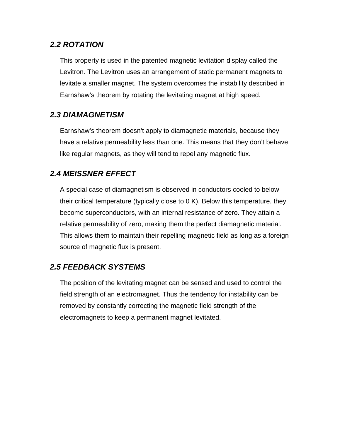#### **2.2 ROTATION**

This property is used in the patented magnetic levitation display called the Levitron. The Levitron uses an arrangement of static permanent magnets to levitate a smaller magnet. The system overcomes the instability described in Earnshaw's theorem by rotating the levitating magnet at high speed.

#### **2.3 DIAMAGNETISM**

Earnshaw's theorem doesn't apply to diamagnetic materials, because they have a relative permeability less than one. This means that they don't behave like regular magnets, as they will tend to repel any magnetic flux.

#### **2.4 MEISSNER EFFECT**

A special case of diamagnetism is observed in conductors cooled to below their critical temperature (typically close to 0 K). Below this temperature, they become superconductors, with an internal resistance of zero. They attain a relative permeability of zero, making them the perfect diamagnetic material. This allows them to maintain their repelling magnetic field as long as a foreign source of magnetic flux is present.

#### **2.5 FEEDBACK SYSTEMS**

The position of the levitating magnet can be sensed and used to control the field strength of an electromagnet. Thus the tendency for instability can be removed by constantly correcting the magnetic field strength of the electromagnets to keep a permanent magnet levitated.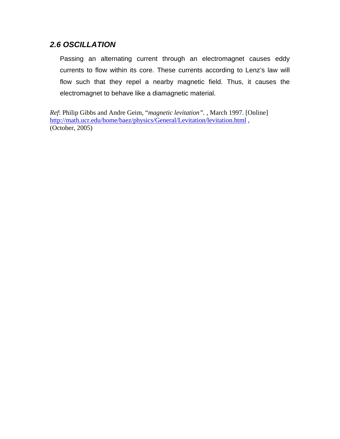#### **2.6 OSCILLATION**

Passing an alternating current through an electromagnet causes eddy currents to flow within its core. These currents according to Lenz's law will flow such that they repel a nearby magnetic field. Thus, it causes the electromagnet to behave like a diamagnetic material.

*Ref*: Philip Gibbs and Andre Geim, "*magnetic levitation".* , March 1997. [Online] http://math.ucr.edu/home/baez/physics/General/Levitation/levitation.html , (October, 2005)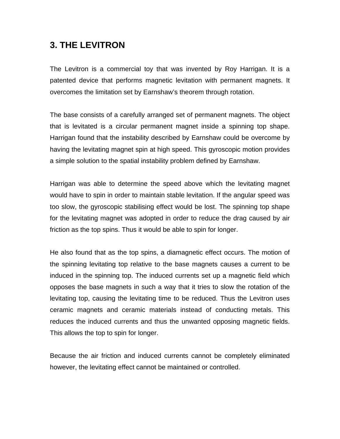## **3. THE LEVITRON**

The Levitron is a commercial toy that was invented by Roy Harrigan. It is a patented device that performs magnetic levitation with permanent magnets. It overcomes the limitation set by Earnshaw's theorem through rotation.

The base consists of a carefully arranged set of permanent magnets. The object that is levitated is a circular permanent magnet inside a spinning top shape. Harrigan found that the instability described by Earnshaw could be overcome by having the levitating magnet spin at high speed. This gyroscopic motion provides a simple solution to the spatial instability problem defined by Earnshaw.

Harrigan was able to determine the speed above which the levitating magnet would have to spin in order to maintain stable levitation. If the angular speed was too slow, the gyroscopic stabilising effect would be lost. The spinning top shape for the levitating magnet was adopted in order to reduce the drag caused by air friction as the top spins. Thus it would be able to spin for longer.

He also found that as the top spins, a diamagnetic effect occurs. The motion of the spinning levitating top relative to the base magnets causes a current to be induced in the spinning top. The induced currents set up a magnetic field which opposes the base magnets in such a way that it tries to slow the rotation of the levitating top, causing the levitating time to be reduced. Thus the Levitron uses ceramic magnets and ceramic materials instead of conducting metals. This reduces the induced currents and thus the unwanted opposing magnetic fields. This allows the top to spin for longer.

Because the air friction and induced currents cannot be completely eliminated however, the levitating effect cannot be maintained or controlled.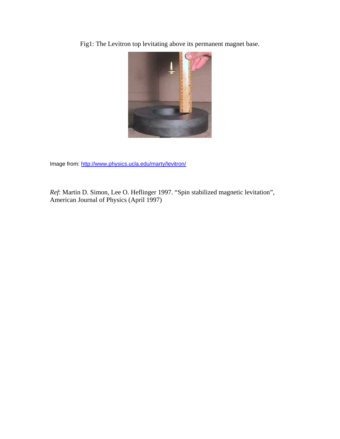Fig1: The Levitron top levitating above its permanent magnet base.



Image from: http://www.physics.ucla.edu/marty/levitron/

*Ref*: Martin D. Simon, Lee O. Heflinger 1997. "Spin stabilized magnetic levitation", American Journal of Physics (April 1997)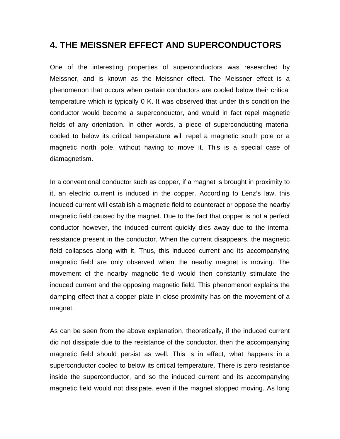## **4. THE MEISSNER EFFECT AND SUPERCONDUCTORS**

One of the interesting properties of superconductors was researched by Meissner, and is known as the Meissner effect. The Meissner effect is a phenomenon that occurs when certain conductors are cooled below their critical temperature which is typically 0 K. It was observed that under this condition the conductor would become a superconductor, and would in fact repel magnetic fields of any orientation. In other words, a piece of superconducting material cooled to below its critical temperature will repel a magnetic south pole or a magnetic north pole, without having to move it. This is a special case of diamagnetism.

In a conventional conductor such as copper, if a magnet is brought in proximity to it, an electric current is induced in the copper. According to Lenz's law, this induced current will establish a magnetic field to counteract or oppose the nearby magnetic field caused by the magnet. Due to the fact that copper is not a perfect conductor however, the induced current quickly dies away due to the internal resistance present in the conductor. When the current disappears, the magnetic field collapses along with it. Thus, this induced current and its accompanying magnetic field are only observed when the nearby magnet is moving. The movement of the nearby magnetic field would then constantly stimulate the induced current and the opposing magnetic field. This phenomenon explains the damping effect that a copper plate in close proximity has on the movement of a magnet.

As can be seen from the above explanation, theoretically, if the induced current did not dissipate due to the resistance of the conductor, then the accompanying magnetic field should persist as well. This is in effect, what happens in a superconductor cooled to below its critical temperature. There is zero resistance inside the superconductor, and so the induced current and its accompanying magnetic field would not dissipate, even if the magnet stopped moving. As long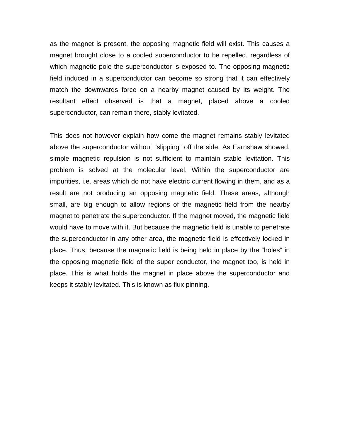as the magnet is present, the opposing magnetic field will exist. This causes a magnet brought close to a cooled superconductor to be repelled, regardless of which magnetic pole the superconductor is exposed to. The opposing magnetic field induced in a superconductor can become so strong that it can effectively match the downwards force on a nearby magnet caused by its weight. The resultant effect observed is that a magnet, placed above a cooled superconductor, can remain there, stably levitated.

This does not however explain how come the magnet remains stably levitated above the superconductor without "slipping" off the side. As Earnshaw showed, simple magnetic repulsion is not sufficient to maintain stable levitation. This problem is solved at the molecular level. Within the superconductor are impurities, i.e. areas which do not have electric current flowing in them, and as a result are not producing an opposing magnetic field. These areas, although small, are big enough to allow regions of the magnetic field from the nearby magnet to penetrate the superconductor. If the magnet moved, the magnetic field would have to move with it. But because the magnetic field is unable to penetrate the superconductor in any other area, the magnetic field is effectively locked in place. Thus, because the magnetic field is being held in place by the "holes" in the opposing magnetic field of the super conductor, the magnet too, is held in place. This is what holds the magnet in place above the superconductor and keeps it stably levitated. This is known as flux pinning.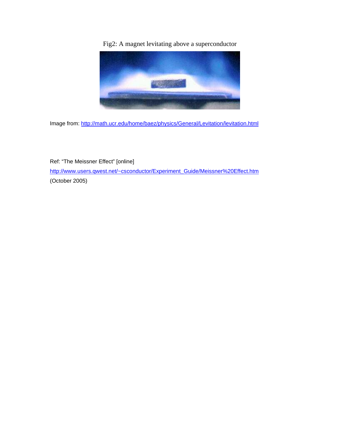Fig2: A magnet levitating above a superconductor



Image from: http://math.ucr.edu/home/baez/physics/General/Levitation/levitation.html

Ref: "The Meissner Effect" [online] http://www.users.qwest.net/~csconductor/Experiment\_Guide/Meissner%20Effect.htm (October 2005)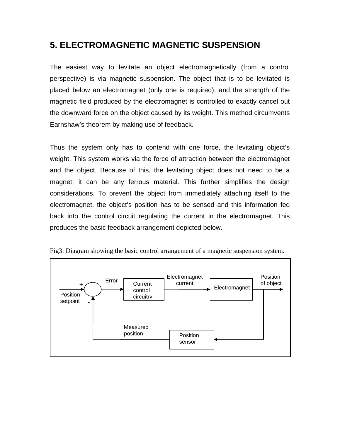## **5. ELECTROMAGNETIC MAGNETIC SUSPENSION**

The easiest way to levitate an object electromagnetically (from a control perspective) is via magnetic suspension. The object that is to be levitated is placed below an electromagnet (only one is required), and the strength of the magnetic field produced by the electromagnet is controlled to exactly cancel out the downward force on the object caused by its weight. This method circumvents Earnshaw's theorem by making use of feedback.

Thus the system only has to contend with one force, the levitating object's weight. This system works via the force of attraction between the electromagnet and the object. Because of this, the levitating object does not need to be a magnet; it can be any ferrous material. This further simplifies the design considerations. To prevent the object from immediately attaching itself to the electromagnet, the object's position has to be sensed and this information fed back into the control circuit regulating the current in the electromagnet. This produces the basic feedback arrangement depicted below.



Fig3: Diagram showing the basic control arrangement of a magnetic suspension system.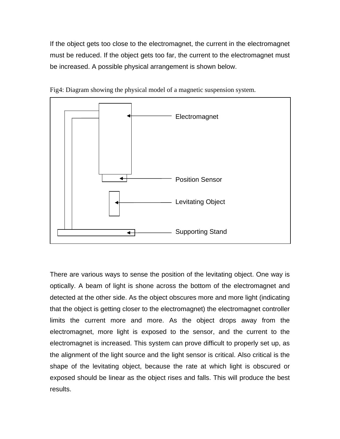If the object gets too close to the electromagnet, the current in the electromagnet must be reduced. If the object gets too far, the current to the electromagnet must be increased. A possible physical arrangement is shown below.



Fig4: Diagram showing the physical model of a magnetic suspension system.

There are various ways to sense the position of the levitating object. One way is optically. A beam of light is shone across the bottom of the electromagnet and detected at the other side. As the object obscures more and more light (indicating that the object is getting closer to the electromagnet) the electromagnet controller limits the current more and more. As the object drops away from the electromagnet, more light is exposed to the sensor, and the current to the electromagnet is increased. This system can prove difficult to properly set up, as the alignment of the light source and the light sensor is critical. Also critical is the shape of the levitating object, because the rate at which light is obscured or exposed should be linear as the object rises and falls. This will produce the best results.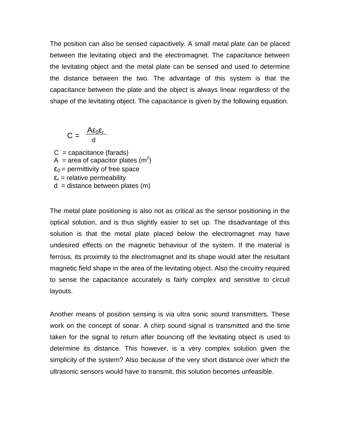The position can also be sensed capacitively. A small metal plate can be placed between the levitating object and the electromagnet. The capacitance between the levitating object and the metal plate can be sensed and used to determine the distance between the two. The advantage of this system is that the capacitance between the plate and the object is always linear regardless of the shape of the levitating object. The capacitance is given by the following equation.

$$
C = \frac{A\epsilon_0\epsilon_r}{d}
$$

 $C =$  capacitance (farads) A = area of capacitor plates  $(m^2)$  $\epsilon_0$  = permittivity of free space  $\epsilon_r$  = relative permeability  $d =$  distance between plates  $(m)$ 

The metal plate positioning is also not as critical as the sensor positioning in the optical solution, and is thus slightly easier to set up. The disadvantage of this solution is that the metal plate placed below the electromagnet may have undesired effects on the magnetic behaviour of the system. If the material is ferrous, its proximity to the electromagnet and its shape would alter the resultant magnetic field shape in the area of the levitating object. Also the circuitry required to sense the capacitance accurately is fairly complex and sensitive to circuit layouts.

Another means of position sensing is via ultra sonic sound transmitters. These work on the concept of sonar. A chirp sound signal is transmitted and the time taken for the signal to return after bouncing off the levitating object is used to determine its distance. This however, is a very complex solution given the simplicity of the system? Also because of the very short distance over which the ultrasonic sensors would have to transmit, this solution becomes unfeasible.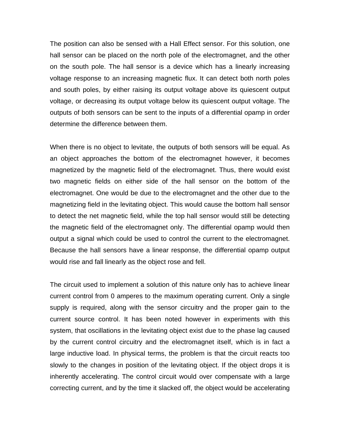The position can also be sensed with a Hall Effect sensor. For this solution, one hall sensor can be placed on the north pole of the electromagnet, and the other on the south pole. The hall sensor is a device which has a linearly increasing voltage response to an increasing magnetic flux. It can detect both north poles and south poles, by either raising its output voltage above its quiescent output voltage, or decreasing its output voltage below its quiescent output voltage. The outputs of both sensors can be sent to the inputs of a differential opamp in order determine the difference between them.

When there is no object to levitate, the outputs of both sensors will be equal. As an object approaches the bottom of the electromagnet however, it becomes magnetized by the magnetic field of the electromagnet. Thus, there would exist two magnetic fields on either side of the hall sensor on the bottom of the electromagnet. One would be due to the electromagnet and the other due to the magnetizing field in the levitating object. This would cause the bottom hall sensor to detect the net magnetic field, while the top hall sensor would still be detecting the magnetic field of the electromagnet only. The differential opamp would then output a signal which could be used to control the current to the electromagnet. Because the hall sensors have a linear response, the differential opamp output would rise and fall linearly as the object rose and fell.

The circuit used to implement a solution of this nature only has to achieve linear current control from 0 amperes to the maximum operating current. Only a single supply is required, along with the sensor circuitry and the proper gain to the current source control. It has been noted however in experiments with this system, that oscillations in the levitating object exist due to the phase lag caused by the current control circuitry and the electromagnet itself, which is in fact a large inductive load. In physical terms, the problem is that the circuit reacts too slowly to the changes in position of the levitating object. If the object drops it is inherently accelerating. The control circuit would over compensate with a large correcting current, and by the time it slacked off, the object would be accelerating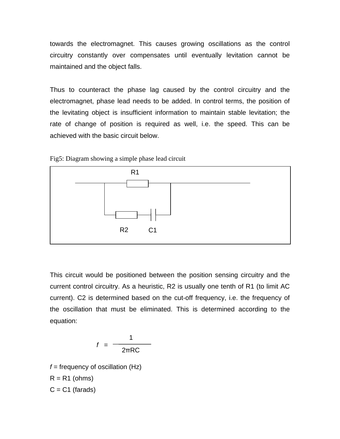towards the electromagnet. This causes growing oscillations as the control circuitry constantly over compensates until eventually levitation cannot be maintained and the object falls.

Thus to counteract the phase lag caused by the control circuitry and the electromagnet, phase lead needs to be added. In control terms, the position of the levitating object is insufficient information to maintain stable levitation; the rate of change of position is required as well, i.e. the speed. This can be achieved with the basic circuit below.





This circuit would be positioned between the position sensing circuitry and the current control circuitry. As a heuristic, R2 is usually one tenth of R1 (to limit AC current). C2 is determined based on the cut-off frequency, i.e. the frequency of the oscillation that must be eliminated. This is determined according to the equation:

$$
f = \frac{1}{2\pi RC}
$$

 $f =$  frequency of oscillation (Hz)  $R = R1$  (ohms)  $C = C1$  (farads)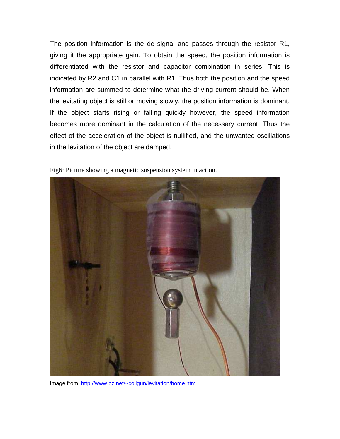The position information is the dc signal and passes through the resistor R1, giving it the appropriate gain. To obtain the speed, the position information is differentiated with the resistor and capacitor combination in series. This is indicated by R2 and C1 in parallel with R1. Thus both the position and the speed information are summed to determine what the driving current should be. When the levitating object is still or moving slowly, the position information is dominant. If the object starts rising or falling quickly however, the speed information becomes more dominant in the calculation of the necessary current. Thus the effect of the acceleration of the object is nullified, and the unwanted oscillations in the levitation of the object are damped.



Fig6: Picture showing a magnetic suspension system in action.

Image from: http://www.oz.net/~coilgun/levitation/home.htm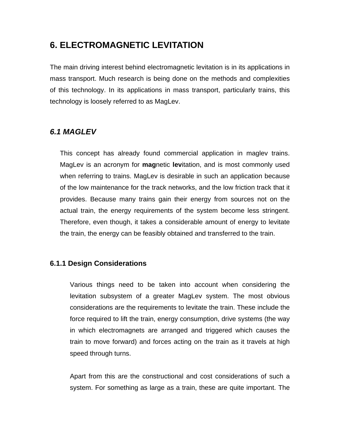## **6. ELECTROMAGNETIC LEVITATION**

The main driving interest behind electromagnetic levitation is in its applications in mass transport. Much research is being done on the methods and complexities of this technology. In its applications in mass transport, particularly trains, this technology is loosely referred to as MagLev.

### **6.1 MAGLEV**

This concept has already found commercial application in maglev trains. MagLev is an acronym for **mag**netic **lev**itation, and is most commonly used when referring to trains. MagLev is desirable in such an application because of the low maintenance for the track networks, and the low friction track that it provides. Because many trains gain their energy from sources not on the actual train, the energy requirements of the system become less stringent. Therefore, even though, it takes a considerable amount of energy to levitate the train, the energy can be feasibly obtained and transferred to the train.

#### **6.1.1 Design Considerations**

Various things need to be taken into account when considering the levitation subsystem of a greater MagLev system. The most obvious considerations are the requirements to levitate the train. These include the force required to lift the train, energy consumption, drive systems (the way in which electromagnets are arranged and triggered which causes the train to move forward) and forces acting on the train as it travels at high speed through turns.

Apart from this are the constructional and cost considerations of such a system. For something as large as a train, these are quite important. The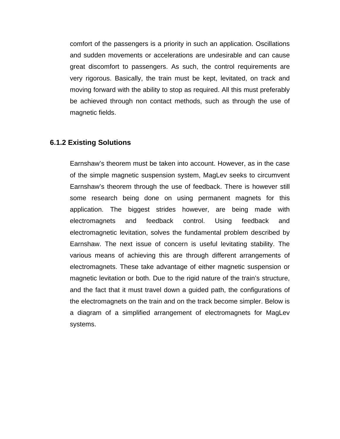comfort of the passengers is a priority in such an application. Oscillations and sudden movements or accelerations are undesirable and can cause great discomfort to passengers. As such, the control requirements are very rigorous. Basically, the train must be kept, levitated, on track and moving forward with the ability to stop as required. All this must preferably be achieved through non contact methods, such as through the use of magnetic fields.

#### **6.1.2 Existing Solutions**

Earnshaw's theorem must be taken into account. However, as in the case of the simple magnetic suspension system, MagLev seeks to circumvent Earnshaw's theorem through the use of feedback. There is however still some research being done on using permanent magnets for this application. The biggest strides however, are being made with electromagnets and feedback control. Using feedback and electromagnetic levitation, solves the fundamental problem described by Earnshaw. The next issue of concern is useful levitating stability. The various means of achieving this are through different arrangements of electromagnets. These take advantage of either magnetic suspension or magnetic levitation or both. Due to the rigid nature of the train's structure, and the fact that it must travel down a guided path, the configurations of the electromagnets on the train and on the track become simpler. Below is a diagram of a simplified arrangement of electromagnets for MagLev systems.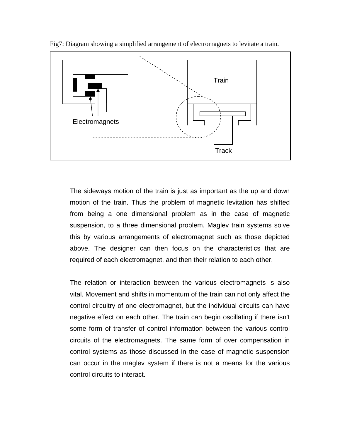

Fig7: Diagram showing a simplified arrangement of electromagnets to levitate a train.

The sideways motion of the train is just as important as the up and down motion of the train. Thus the problem of magnetic levitation has shifted from being a one dimensional problem as in the case of magnetic suspension, to a three dimensional problem. Maglev train systems solve this by various arrangements of electromagnet such as those depicted above. The designer can then focus on the characteristics that are required of each electromagnet, and then their relation to each other.

The relation or interaction between the various electromagnets is also vital. Movement and shifts in momentum of the train can not only affect the control circuitry of one electromagnet, but the individual circuits can have negative effect on each other. The train can begin oscillating if there isn't some form of transfer of control information between the various control circuits of the electromagnets. The same form of over compensation in control systems as those discussed in the case of magnetic suspension can occur in the maglev system if there is not a means for the various control circuits to interact.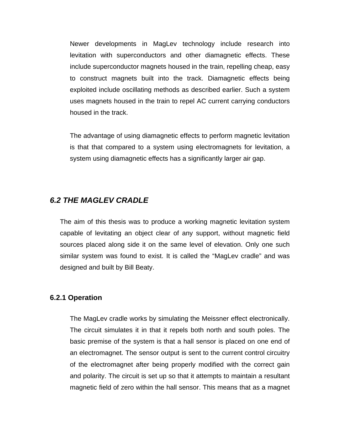Newer developments in MagLev technology include research into levitation with superconductors and other diamagnetic effects. These include superconductor magnets housed in the train, repelling cheap, easy to construct magnets built into the track. Diamagnetic effects being exploited include oscillating methods as described earlier. Such a system uses magnets housed in the train to repel AC current carrying conductors housed in the track.

The advantage of using diamagnetic effects to perform magnetic levitation is that that compared to a system using electromagnets for levitation, a system using diamagnetic effects has a significantly larger air gap.

#### **6.2 THE MAGLEV CRADLE**

The aim of this thesis was to produce a working magnetic levitation system capable of levitating an object clear of any support, without magnetic field sources placed along side it on the same level of elevation. Only one such similar system was found to exist. It is called the "MagLev cradle" and was designed and built by Bill Beaty.

#### **6.2.1 Operation**

The MagLev cradle works by simulating the Meissner effect electronically. The circuit simulates it in that it repels both north and south poles. The basic premise of the system is that a hall sensor is placed on one end of an electromagnet. The sensor output is sent to the current control circuitry of the electromagnet after being properly modified with the correct gain and polarity. The circuit is set up so that it attempts to maintain a resultant magnetic field of zero within the hall sensor. This means that as a magnet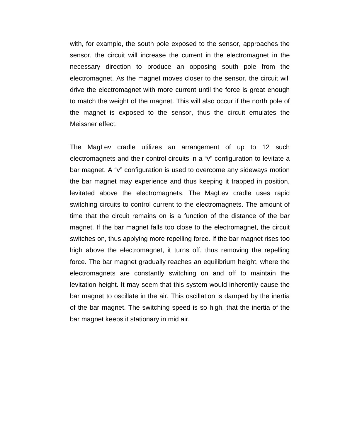with, for example, the south pole exposed to the sensor, approaches the sensor, the circuit will increase the current in the electromagnet in the necessary direction to produce an opposing south pole from the electromagnet. As the magnet moves closer to the sensor, the circuit will drive the electromagnet with more current until the force is great enough to match the weight of the magnet. This will also occur if the north pole of the magnet is exposed to the sensor, thus the circuit emulates the Meissner effect.

The MagLev cradle utilizes an arrangement of up to 12 such electromagnets and their control circuits in a "v" configuration to levitate a bar magnet. A "v" configuration is used to overcome any sideways motion the bar magnet may experience and thus keeping it trapped in position, levitated above the electromagnets. The MagLev cradle uses rapid switching circuits to control current to the electromagnets. The amount of time that the circuit remains on is a function of the distance of the bar magnet. If the bar magnet falls too close to the electromagnet, the circuit switches on, thus applying more repelling force. If the bar magnet rises too high above the electromagnet, it turns off, thus removing the repelling force. The bar magnet gradually reaches an equilibrium height, where the electromagnets are constantly switching on and off to maintain the levitation height. It may seem that this system would inherently cause the bar magnet to oscillate in the air. This oscillation is damped by the inertia of the bar magnet. The switching speed is so high, that the inertia of the bar magnet keeps it stationary in mid air.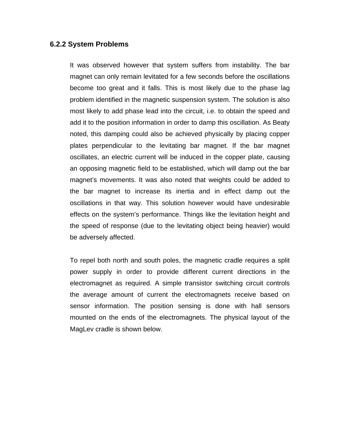#### **6.2.2 System Problems**

It was observed however that system suffers from instability. The bar magnet can only remain levitated for a few seconds before the oscillations become too great and it falls. This is most likely due to the phase lag problem identified in the magnetic suspension system. The solution is also most likely to add phase lead into the circuit, i.e. to obtain the speed and add it to the position information in order to damp this oscillation. As Beaty noted, this damping could also be achieved physically by placing copper plates perpendicular to the levitating bar magnet. If the bar magnet oscillates, an electric current will be induced in the copper plate, causing an opposing magnetic field to be established, which will damp out the bar magnet's movements. It was also noted that weights could be added to the bar magnet to increase its inertia and in effect damp out the oscillations in that way. This solution however would have undesirable effects on the system's performance. Things like the levitation height and the speed of response (due to the levitating object being heavier) would be adversely affected.

To repel both north and south poles, the magnetic cradle requires a split power supply in order to provide different current directions in the electromagnet as required. A simple transistor switching circuit controls the average amount of current the electromagnets receive based on sensor information. The position sensing is done with hall sensors mounted on the ends of the electromagnets. The physical layout of the MagLev cradle is shown below.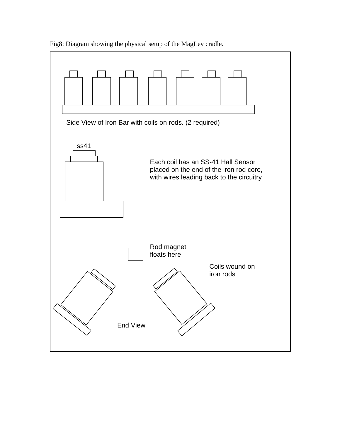

Fig8: Diagram showing the physical setup of the MagLev cradle.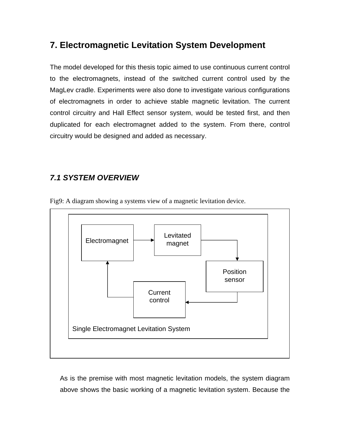## **7. Electromagnetic Levitation System Development**

The model developed for this thesis topic aimed to use continuous current control to the electromagnets, instead of the switched current control used by the MagLev cradle. Experiments were also done to investigate various configurations of electromagnets in order to achieve stable magnetic levitation. The current control circuitry and Hall Effect sensor system, would be tested first, and then duplicated for each electromagnet added to the system. From there, control circuitry would be designed and added as necessary.

## **7.1 SYSTEM OVERVIEW**



Fig9: A diagram showing a systems view of a magnetic levitation device.

As is the premise with most magnetic levitation models, the system diagram above shows the basic working of a magnetic levitation system. Because the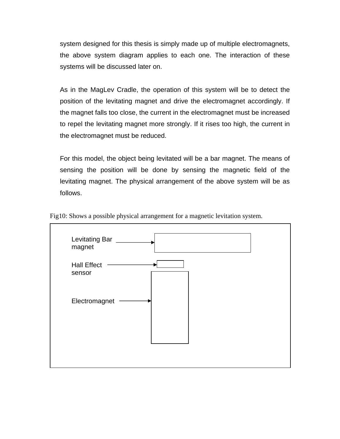system designed for this thesis is simply made up of multiple electromagnets, the above system diagram applies to each one. The interaction of these systems will be discussed later on.

As in the MagLev Cradle, the operation of this system will be to detect the position of the levitating magnet and drive the electromagnet accordingly. If the magnet falls too close, the current in the electromagnet must be increased to repel the levitating magnet more strongly. If it rises too high, the current in the electromagnet must be reduced.

For this model, the object being levitated will be a bar magnet. The means of sensing the position will be done by sensing the magnetic field of the levitating magnet. The physical arrangement of the above system will be as follows.



Fig10: Shows a possible physical arrangement for a magnetic levitation system.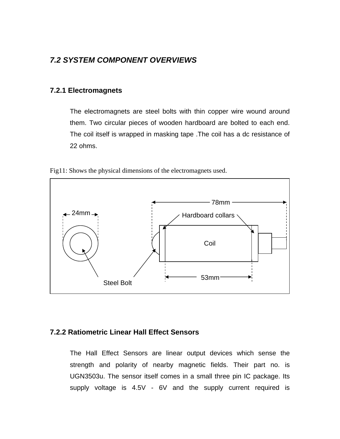#### **7.2 SYSTEM COMPONENT OVERVIEWS**

#### **7.2.1 Electromagnets**

The electromagnets are steel bolts with thin copper wire wound around them. Two circular pieces of wooden hardboard are bolted to each end. The coil itself is wrapped in masking tape .The coil has a dc resistance of 22 ohms.



Fig11: Shows the physical dimensions of the electromagnets used.

#### **7.2.2 Ratiometric Linear Hall Effect Sensors**

The Hall Effect Sensors are linear output devices which sense the strength and polarity of nearby magnetic fields. Their part no. is UGN3503u. The sensor itself comes in a small three pin IC package. Its supply voltage is 4.5V - 6V and the supply current required is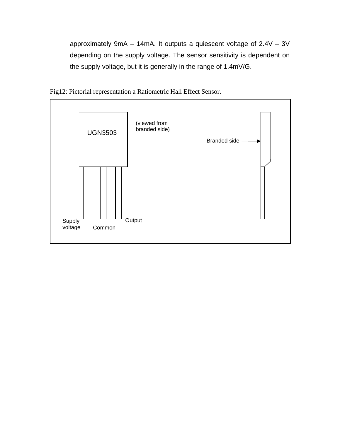approximately 9mA – 14mA. It outputs a quiescent voltage of 2.4V – 3V depending on the supply voltage. The sensor sensitivity is dependent on the supply voltage, but it is generally in the range of 1.4mV/G.



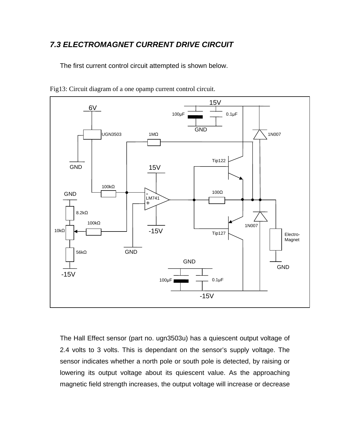#### **7.3 ELECTROMAGNET CURRENT DRIVE CIRCUIT**

The first current control circuit attempted is shown below.



Fig13: Circuit diagram of a one opamp current control circuit.

The Hall Effect sensor (part no. ugn3503u) has a quiescent output voltage of 2.4 volts to 3 volts. This is dependant on the sensor's supply voltage. The sensor indicates whether a north pole or south pole is detected, by raising or lowering its output voltage about its quiescent value. As the approaching magnetic field strength increases, the output voltage will increase or decrease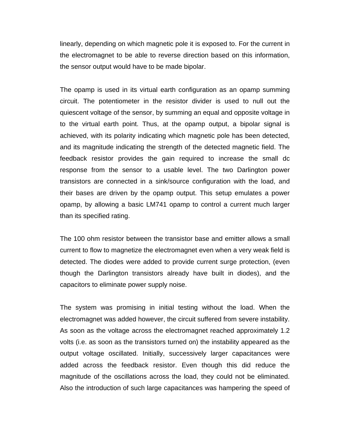linearly, depending on which magnetic pole it is exposed to. For the current in the electromagnet to be able to reverse direction based on this information, the sensor output would have to be made bipolar.

The opamp is used in its virtual earth configuration as an opamp summing circuit. The potentiometer in the resistor divider is used to null out the quiescent voltage of the sensor, by summing an equal and opposite voltage in to the virtual earth point. Thus, at the opamp output, a bipolar signal is achieved, with its polarity indicating which magnetic pole has been detected, and its magnitude indicating the strength of the detected magnetic field. The feedback resistor provides the gain required to increase the small dc response from the sensor to a usable level. The two Darlington power transistors are connected in a sink/source configuration with the load, and their bases are driven by the opamp output. This setup emulates a power opamp, by allowing a basic LM741 opamp to control a current much larger than its specified rating.

The 100 ohm resistor between the transistor base and emitter allows a small current to flow to magnetize the electromagnet even when a very weak field is detected. The diodes were added to provide current surge protection, (even though the Darlington transistors already have built in diodes), and the capacitors to eliminate power supply noise.

The system was promising in initial testing without the load. When the electromagnet was added however, the circuit suffered from severe instability. As soon as the voltage across the electromagnet reached approximately 1.2 volts (i.e. as soon as the transistors turned on) the instability appeared as the output voltage oscillated. Initially, successively larger capacitances were added across the feedback resistor. Even though this did reduce the magnitude of the oscillations across the load, they could not be eliminated. Also the introduction of such large capacitances was hampering the speed of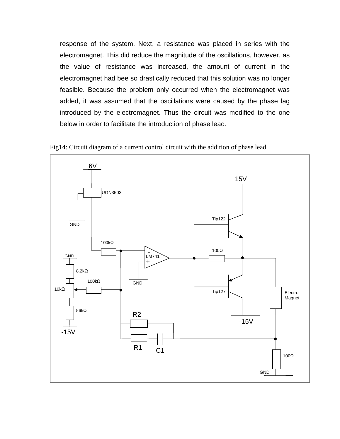response of the system. Next, a resistance was placed in series with the electromagnet. This did reduce the magnitude of the oscillations, however, as the value of resistance was increased, the amount of current in the electromagnet had bee so drastically reduced that this solution was no longer feasible. Because the problem only occurred when the electromagnet was added, it was assumed that the oscillations were caused by the phase lag introduced by the electromagnet. Thus the circuit was modified to the one below in order to facilitate the introduction of phase lead.



Fig14: Circuit diagram of a current control circuit with the addition of phase lead.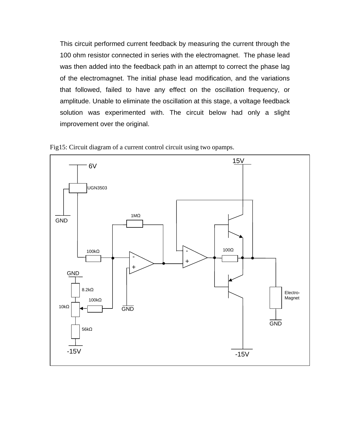This circuit performed current feedback by measuring the current through the 100 ohm resistor connected in series with the electromagnet. The phase lead was then added into the feedback path in an attempt to correct the phase lag of the electromagnet. The initial phase lead modification, and the variations that followed, failed to have any effect on the oscillation frequency, or amplitude. Unable to eliminate the oscillation at this stage, a voltage feedback solution was experimented with. The circuit below had only a slight improvement over the original.



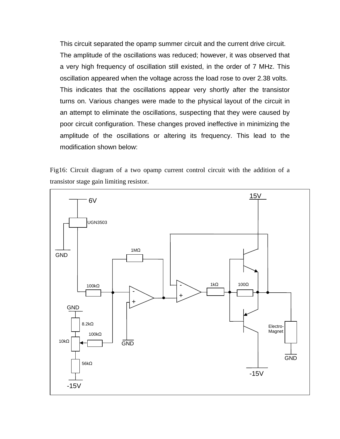This circuit separated the opamp summer circuit and the current drive circuit. The amplitude of the oscillations was reduced; however, it was observed that a very high frequency of oscillation still existed, in the order of 7 MHz. This oscillation appeared when the voltage across the load rose to over 2.38 volts. This indicates that the oscillations appear very shortly after the transistor turns on. Various changes were made to the physical layout of the circuit in an attempt to eliminate the oscillations, suspecting that they were caused by poor circuit configuration. These changes proved ineffective in minimizing the amplitude of the oscillations or altering its frequency. This lead to the modification shown below:

Fig16: Circuit diagram of a two opamp current control circuit with the addition of a transistor stage gain limiting resistor.

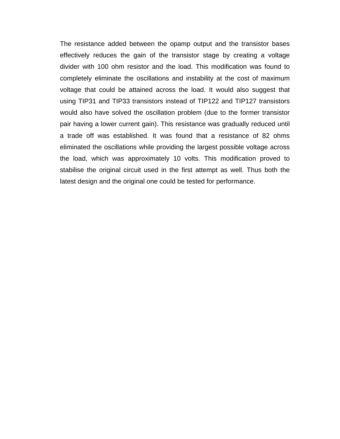The resistance added between the opamp output and the transistor bases effectively reduces the gain of the transistor stage by creating a voltage divider with 100 ohm resistor and the load. This modification was found to completely eliminate the oscillations and instability at the cost of maximum voltage that could be attained across the load. It would also suggest that using TIP31 and TIP33 transistors instead of TIP122 and TIP127 transistors would also have solved the oscillation problem (due to the former transistor pair having a lower current gain). This resistance was gradually reduced until a trade off was established. It was found that a resistance of 82 ohms eliminated the oscillations while providing the largest possible voltage across the load, which was approximately 10 volts. This modification proved to stabilise the original circuit used in the first attempt as well. Thus both the latest design and the original one could be tested for performance.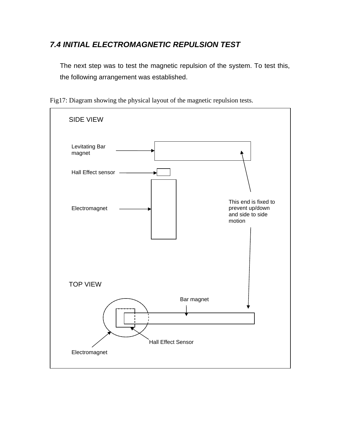## **7.4 INITIAL ELECTROMAGNETIC REPULSION TEST**

The next step was to test the magnetic repulsion of the system. To test this, the following arrangement was established.



Fig17: Diagram showing the physical layout of the magnetic repulsion tests.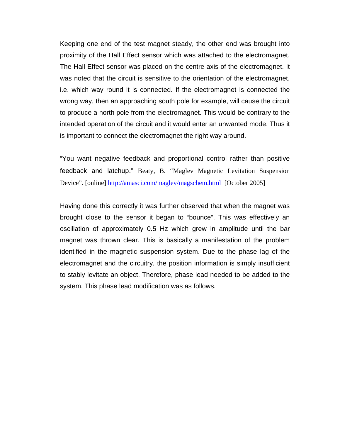Keeping one end of the test magnet steady, the other end was brought into proximity of the Hall Effect sensor which was attached to the electromagnet. The Hall Effect sensor was placed on the centre axis of the electromagnet. It was noted that the circuit is sensitive to the orientation of the electromagnet, i.e. which way round it is connected. If the electromagnet is connected the wrong way, then an approaching south pole for example, will cause the circuit to produce a north pole from the electromagnet. This would be contrary to the intended operation of the circuit and it would enter an unwanted mode. Thus it is important to connect the electromagnet the right way around.

"You want negative feedback and proportional control rather than positive feedback and latchup." Beaty, B. "Maglev Magnetic Levitation Suspension Device"*.* [online] http://amasci.com/maglev/magschem.html [October 2005]

Having done this correctly it was further observed that when the magnet was brought close to the sensor it began to "bounce". This was effectively an oscillation of approximately 0.5 Hz which grew in amplitude until the bar magnet was thrown clear. This is basically a manifestation of the problem identified in the magnetic suspension system. Due to the phase lag of the electromagnet and the circuitry, the position information is simply insufficient to stably levitate an object. Therefore, phase lead needed to be added to the system. This phase lead modification was as follows.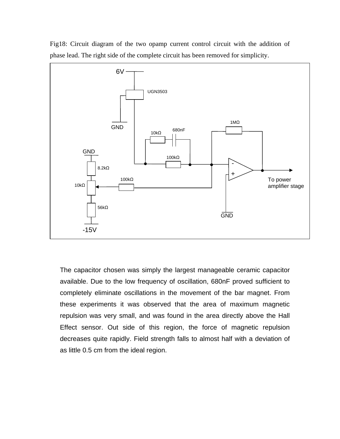

Fig18: Circuit diagram of the two opamp current control circuit with the addition of phase lead. The right side of the complete circuit has been removed for simplicity.

The capacitor chosen was simply the largest manageable ceramic capacitor available. Due to the low frequency of oscillation, 680nF proved sufficient to completely eliminate oscillations in the movement of the bar magnet. From these experiments it was observed that the area of maximum magnetic repulsion was very small, and was found in the area directly above the Hall Effect sensor. Out side of this region, the force of magnetic repulsion decreases quite rapidly. Field strength falls to almost half with a deviation of as little 0.5 cm from the ideal region.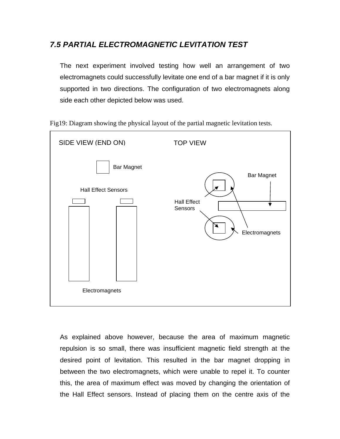### **7.5 PARTIAL ELECTROMAGNETIC LEVITATION TEST**

The next experiment involved testing how well an arrangement of two electromagnets could successfully levitate one end of a bar magnet if it is only supported in two directions. The configuration of two electromagnets along side each other depicted below was used.



Fig19: Diagram showing the physical layout of the partial magnetic levitation tests.

As explained above however, because the area of maximum magnetic repulsion is so small, there was insufficient magnetic field strength at the desired point of levitation. This resulted in the bar magnet dropping in between the two electromagnets, which were unable to repel it. To counter this, the area of maximum effect was moved by changing the orientation of the Hall Effect sensors. Instead of placing them on the centre axis of the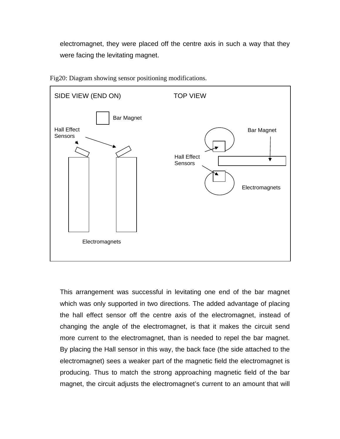electromagnet, they were placed off the centre axis in such a way that they were facing the levitating magnet.



Fig20: Diagram showing sensor positioning modifications.

This arrangement was successful in levitating one end of the bar magnet which was only supported in two directions. The added advantage of placing the hall effect sensor off the centre axis of the electromagnet, instead of changing the angle of the electromagnet, is that it makes the circuit send more current to the electromagnet, than is needed to repel the bar magnet. By placing the Hall sensor in this way, the back face (the side attached to the electromagnet) sees a weaker part of the magnetic field the electromagnet is producing. Thus to match the strong approaching magnetic field of the bar magnet, the circuit adjusts the electromagnet's current to an amount that will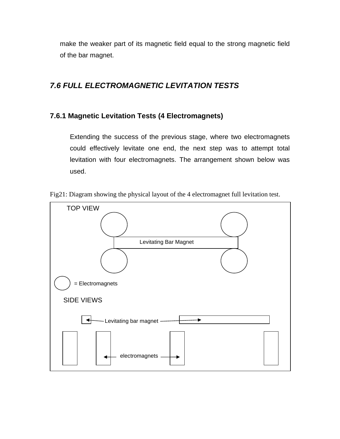make the weaker part of its magnetic field equal to the strong magnetic field of the bar magnet.

## **7.6 FULL ELECTROMAGNETIC LEVITATION TESTS**

#### **7.6.1 Magnetic Levitation Tests (4 Electromagnets)**

Extending the success of the previous stage, where two electromagnets could effectively levitate one end, the next step was to attempt total levitation with four electromagnets. The arrangement shown below was used.



Fig21: Diagram showing the physical layout of the 4 electromagnet full levitation test.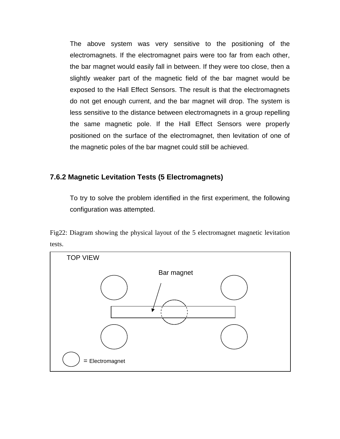The above system was very sensitive to the positioning of the electromagnets. If the electromagnet pairs were too far from each other, the bar magnet would easily fall in between. If they were too close, then a slightly weaker part of the magnetic field of the bar magnet would be exposed to the Hall Effect Sensors. The result is that the electromagnets do not get enough current, and the bar magnet will drop. The system is less sensitive to the distance between electromagnets in a group repelling the same magnetic pole. If the Hall Effect Sensors were properly positioned on the surface of the electromagnet, then levitation of one of the magnetic poles of the bar magnet could still be achieved.

#### **7.6.2 Magnetic Levitation Tests (5 Electromagnets)**

To try to solve the problem identified in the first experiment, the following configuration was attempted.

Fig22: Diagram showing the physical layout of the 5 electromagnet magnetic levitation tests.

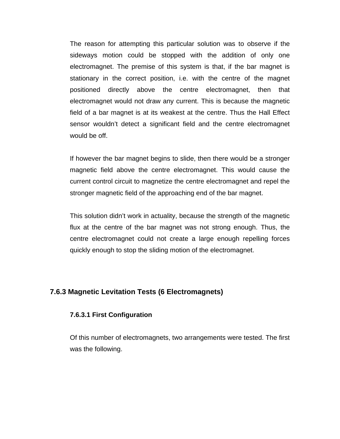The reason for attempting this particular solution was to observe if the sideways motion could be stopped with the addition of only one electromagnet. The premise of this system is that, if the bar magnet is stationary in the correct position, i.e. with the centre of the magnet positioned directly above the centre electromagnet, then that electromagnet would not draw any current. This is because the magnetic field of a bar magnet is at its weakest at the centre. Thus the Hall Effect sensor wouldn't detect a significant field and the centre electromagnet would be off.

If however the bar magnet begins to slide, then there would be a stronger magnetic field above the centre electromagnet. This would cause the current control circuit to magnetize the centre electromagnet and repel the stronger magnetic field of the approaching end of the bar magnet.

This solution didn't work in actuality, because the strength of the magnetic flux at the centre of the bar magnet was not strong enough. Thus, the centre electromagnet could not create a large enough repelling forces quickly enough to stop the sliding motion of the electromagnet.

#### **7.6.3 Magnetic Levitation Tests (6 Electromagnets)**

#### **7.6.3.1 First Configuration**

Of this number of electromagnets, two arrangements were tested. The first was the following.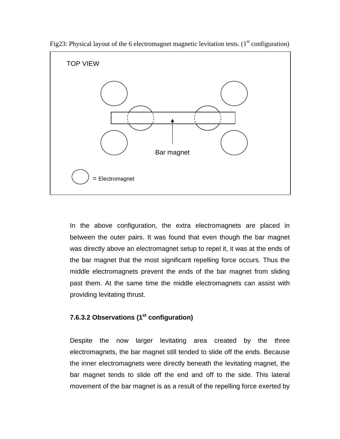

Fig23: Physical layout of the 6 electromagnet magnetic levitation tests. ( $1<sup>st</sup>$  configuration)

In the above configuration, the extra electromagnets are placed in between the outer pairs. It was found that even though the bar magnet was directly above an electromagnet setup to repel it, it was at the ends of the bar magnet that the most significant repelling force occurs. Thus the middle electromagnets prevent the ends of the bar magnet from sliding past them. At the same time the middle electromagnets can assist with providing levitating thrust.

#### **7.6.3.2 Observations (1st configuration)**

Despite the now larger levitating area created by the three electromagnets, the bar magnet still tended to slide off the ends. Because the inner electromagnets were directly beneath the levitating magnet, the bar magnet tends to slide off the end and off to the side. This lateral movement of the bar magnet is as a result of the repelling force exerted by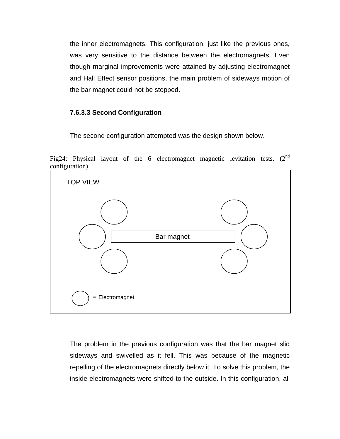the inner electromagnets. This configuration, just like the previous ones, was very sensitive to the distance between the electromagnets. Even though marginal improvements were attained by adjusting electromagnet and Hall Effect sensor positions, the main problem of sideways motion of the bar magnet could not be stopped.

#### **7.6.3.3 Second Configuration**

The second configuration attempted was the design shown below.

Fig24: Physical layout of the 6 electromagnet magnetic levitation tests. (2<sup>nd</sup> configuration)



The problem in the previous configuration was that the bar magnet slid sideways and swivelled as it fell. This was because of the magnetic repelling of the electromagnets directly below it. To solve this problem, the inside electromagnets were shifted to the outside. In this configuration, all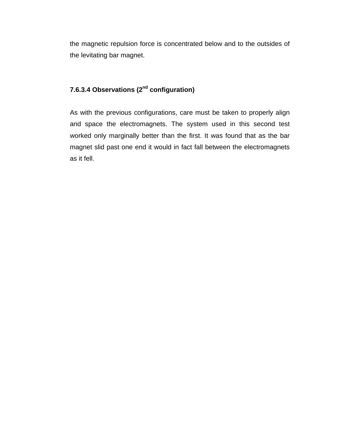the magnetic repulsion force is concentrated below and to the outsides of the levitating bar magnet.

#### **7.6.3.4 Observations (2nd configuration)**

As with the previous configurations, care must be taken to properly align and space the electromagnets. The system used in this second test worked only marginally better than the first. It was found that as the bar magnet slid past one end it would in fact fall between the electromagnets as it fell.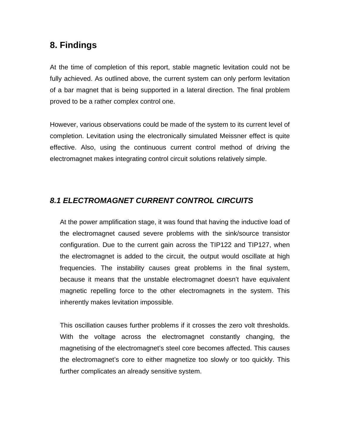## **8. Findings**

At the time of completion of this report, stable magnetic levitation could not be fully achieved. As outlined above, the current system can only perform levitation of a bar magnet that is being supported in a lateral direction. The final problem proved to be a rather complex control one.

However, various observations could be made of the system to its current level of completion. Levitation using the electronically simulated Meissner effect is quite effective. Also, using the continuous current control method of driving the electromagnet makes integrating control circuit solutions relatively simple.

## **8.1 ELECTROMAGNET CURRENT CONTROL CIRCUITS**

At the power amplification stage, it was found that having the inductive load of the electromagnet caused severe problems with the sink/source transistor configuration. Due to the current gain across the TIP122 and TIP127, when the electromagnet is added to the circuit, the output would oscillate at high frequencies. The instability causes great problems in the final system, because it means that the unstable electromagnet doesn't have equivalent magnetic repelling force to the other electromagnets in the system. This inherently makes levitation impossible.

This oscillation causes further problems if it crosses the zero volt thresholds. With the voltage across the electromagnet constantly changing, the magnetising of the electromagnet's steel core becomes affected. This causes the electromagnet's core to either magnetize too slowly or too quickly. This further complicates an already sensitive system.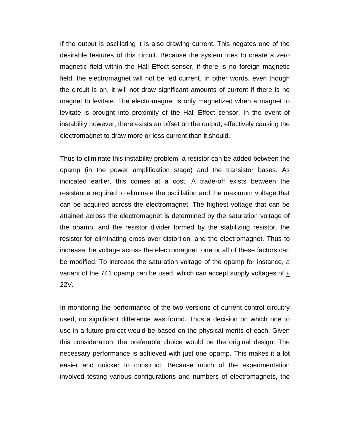If the output is oscillating it is also drawing current. This negates one of the desirable features of this circuit. Because the system tries to create a zero magnetic field within the Hall Effect sensor, if there is no foreign magnetic field, the electromagnet will not be fed current. In other words, even though the circuit is on, it will not draw significant amounts of current if there is no magnet to levitate. The electromagnet is only magnetized when a magnet to levitate is brought into proximity of the Hall Effect sensor. In the event of instability however, there exists an offset on the output, effectively causing the electromagnet to draw more or less current than it should.

Thus to eliminate this instability problem, a resistor can be added between the opamp (in the power amplification stage) and the transistor bases. As indicated earlier, this comes at a cost. A trade-off exists between the resistance required to eliminate the oscillation and the maximum voltage that can be acquired across the electromagnet. The highest voltage that can be attained across the electromagnet is determined by the saturation voltage of the opamp, and the resistor divider formed by the stabilizing resistor, the resistor for eliminating cross over distortion, and the electromagnet. Thus to increase the voltage across the electromagnet, one or all of these factors can be modified. To increase the saturation voltage of the opamp for instance, a variant of the 741 opamp can be used, which can accept supply voltages of + 22V.

In monitoring the performance of the two versions of current control circuitry used, no significant difference was found. Thus a decision on which one to use in a future project would be based on the physical merits of each. Given this consideration, the preferable choice would be the original design. The necessary performance is achieved with just one opamp. This makes it a lot easier and quicker to construct. Because much of the experimentation involved testing various configurations and numbers of electromagnets, the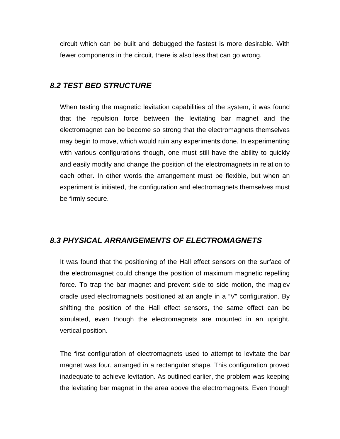circuit which can be built and debugged the fastest is more desirable. With fewer components in the circuit, there is also less that can go wrong.

#### **8.2 TEST BED STRUCTURE**

When testing the magnetic levitation capabilities of the system, it was found that the repulsion force between the levitating bar magnet and the electromagnet can be become so strong that the electromagnets themselves may begin to move, which would ruin any experiments done. In experimenting with various configurations though, one must still have the ability to quickly and easily modify and change the position of the electromagnets in relation to each other. In other words the arrangement must be flexible, but when an experiment is initiated, the configuration and electromagnets themselves must be firmly secure.

#### **8.3 PHYSICAL ARRANGEMENTS OF ELECTROMAGNETS**

It was found that the positioning of the Hall effect sensors on the surface of the electromagnet could change the position of maximum magnetic repelling force. To trap the bar magnet and prevent side to side motion, the maglev cradle used electromagnets positioned at an angle in a "V" configuration. By shifting the position of the Hall effect sensors, the same effect can be simulated, even though the electromagnets are mounted in an upright, vertical position.

The first configuration of electromagnets used to attempt to levitate the bar magnet was four, arranged in a rectangular shape. This configuration proved inadequate to achieve levitation. As outlined earlier, the problem was keeping the levitating bar magnet in the area above the electromagnets. Even though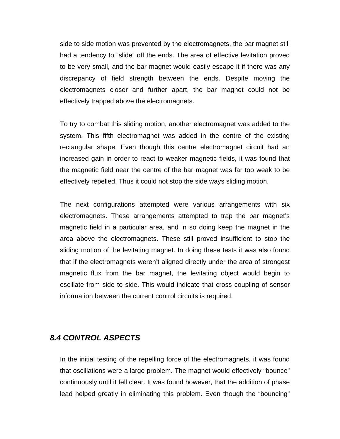side to side motion was prevented by the electromagnets, the bar magnet still had a tendency to "slide" off the ends. The area of effective levitation proved to be very small, and the bar magnet would easily escape it if there was any discrepancy of field strength between the ends. Despite moving the electromagnets closer and further apart, the bar magnet could not be effectively trapped above the electromagnets.

To try to combat this sliding motion, another electromagnet was added to the system. This fifth electromagnet was added in the centre of the existing rectangular shape. Even though this centre electromagnet circuit had an increased gain in order to react to weaker magnetic fields, it was found that the magnetic field near the centre of the bar magnet was far too weak to be effectively repelled. Thus it could not stop the side ways sliding motion.

The next configurations attempted were various arrangements with six electromagnets. These arrangements attempted to trap the bar magnet's magnetic field in a particular area, and in so doing keep the magnet in the area above the electromagnets. These still proved insufficient to stop the sliding motion of the levitating magnet. In doing these tests it was also found that if the electromagnets weren't aligned directly under the area of strongest magnetic flux from the bar magnet, the levitating object would begin to oscillate from side to side. This would indicate that cross coupling of sensor information between the current control circuits is required.

#### **8.4 CONTROL ASPECTS**

In the initial testing of the repelling force of the electromagnets, it was found that oscillations were a large problem. The magnet would effectively "bounce" continuously until it fell clear. It was found however, that the addition of phase lead helped greatly in eliminating this problem. Even though the "bouncing"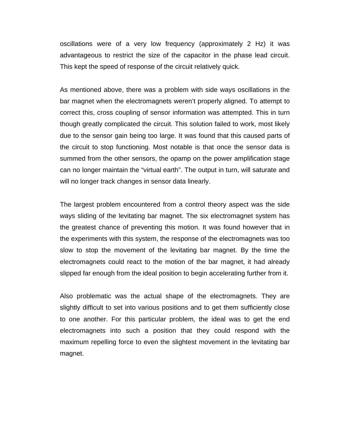oscillations were of a very low frequency (approximately 2 Hz) it was advantageous to restrict the size of the capacitor in the phase lead circuit. This kept the speed of response of the circuit relatively quick.

As mentioned above, there was a problem with side ways oscillations in the bar magnet when the electromagnets weren't properly aligned. To attempt to correct this, cross coupling of sensor information was attempted. This in turn though greatly complicated the circuit. This solution failed to work, most likely due to the sensor gain being too large. It was found that this caused parts of the circuit to stop functioning. Most notable is that once the sensor data is summed from the other sensors, the opamp on the power amplification stage can no longer maintain the "virtual earth". The output in turn, will saturate and will no longer track changes in sensor data linearly.

The largest problem encountered from a control theory aspect was the side ways sliding of the levitating bar magnet. The six electromagnet system has the greatest chance of preventing this motion. It was found however that in the experiments with this system, the response of the electromagnets was too slow to stop the movement of the levitating bar magnet. By the time the electromagnets could react to the motion of the bar magnet, it had already slipped far enough from the ideal position to begin accelerating further from it.

Also problematic was the actual shape of the electromagnets. They are slightly difficult to set into various positions and to get them sufficiently close to one another. For this particular problem, the ideal was to get the end electromagnets into such a position that they could respond with the maximum repelling force to even the slightest movement in the levitating bar magnet.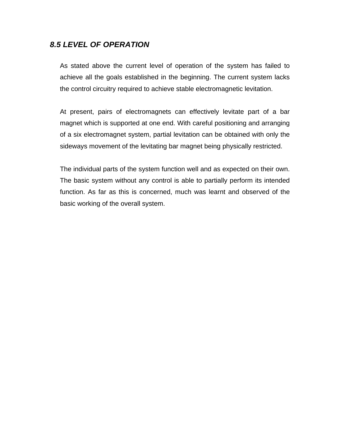#### **8.5 LEVEL OF OPERATION**

As stated above the current level of operation of the system has failed to achieve all the goals established in the beginning. The current system lacks the control circuitry required to achieve stable electromagnetic levitation.

At present, pairs of electromagnets can effectively levitate part of a bar magnet which is supported at one end. With careful positioning and arranging of a six electromagnet system, partial levitation can be obtained with only the sideways movement of the levitating bar magnet being physically restricted.

The individual parts of the system function well and as expected on their own. The basic system without any control is able to partially perform its intended function. As far as this is concerned, much was learnt and observed of the basic working of the overall system.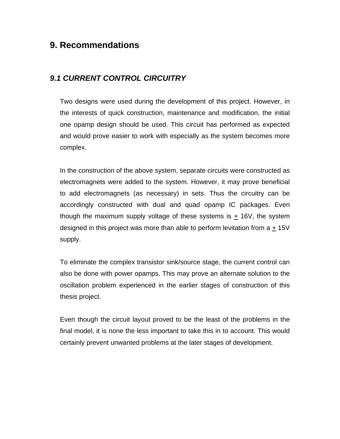## **9. Recommendations**

#### **9.1 CURRENT CONTROL CIRCUITRY**

Two designs were used during the development of this project. However, in the interests of quick construction, maintenance and modification, the initial one opamp design should be used. This circuit has performed as expected and would prove easier to work with especially as the system becomes more complex.

In the construction of the above system, separate circuits were constructed as electromagnets were added to the system. However, it may prove beneficial to add electromagnets (as necessary) in sets. Thus the circuitry can be accordingly constructed with dual and quad opamp IC packages. Even though the maximum supply voltage of these systems is  $\pm$  16V, the system designed in this project was more than able to perform levitation from a + 15V supply.

To eliminate the complex transistor sink/source stage, the current control can also be done with power opamps. This may prove an alternate solution to the oscillation problem experienced in the earlier stages of construction of this thesis project.

Even though the circuit layout proved to be the least of the problems in the final model, it is none the less important to take this in to account. This would certainly prevent unwanted problems at the later stages of development.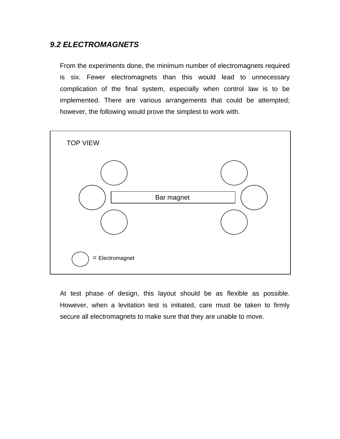#### **9.2 ELECTROMAGNETS**

From the experiments done, the minimum number of electromagnets required is six. Fewer electromagnets than this would lead to unnecessary complication of the final system, especially when control law is to be implemented. There are various arrangements that could be attempted; however, the following would prove the simplest to work with.



At test phase of design, this layout should be as flexible as possible. However, when a levitation test is initiated, care must be taken to firmly secure all electromagnets to make sure that they are unable to move.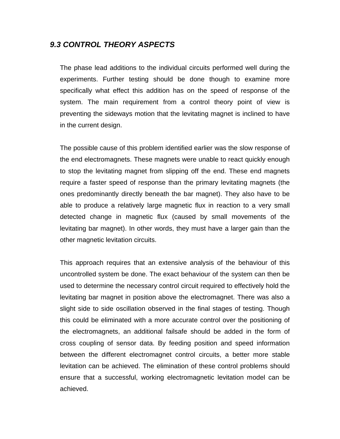#### **9.3 CONTROL THEORY ASPECTS**

The phase lead additions to the individual circuits performed well during the experiments. Further testing should be done though to examine more specifically what effect this addition has on the speed of response of the system. The main requirement from a control theory point of view is preventing the sideways motion that the levitating magnet is inclined to have in the current design.

The possible cause of this problem identified earlier was the slow response of the end electromagnets. These magnets were unable to react quickly enough to stop the levitating magnet from slipping off the end. These end magnets require a faster speed of response than the primary levitating magnets (the ones predominantly directly beneath the bar magnet). They also have to be able to produce a relatively large magnetic flux in reaction to a very small detected change in magnetic flux (caused by small movements of the levitating bar magnet). In other words, they must have a larger gain than the other magnetic levitation circuits.

This approach requires that an extensive analysis of the behaviour of this uncontrolled system be done. The exact behaviour of the system can then be used to determine the necessary control circuit required to effectively hold the levitating bar magnet in position above the electromagnet. There was also a slight side to side oscillation observed in the final stages of testing. Though this could be eliminated with a more accurate control over the positioning of the electromagnets, an additional failsafe should be added in the form of cross coupling of sensor data. By feeding position and speed information between the different electromagnet control circuits, a better more stable levitation can be achieved. The elimination of these control problems should ensure that a successful, working electromagnetic levitation model can be achieved.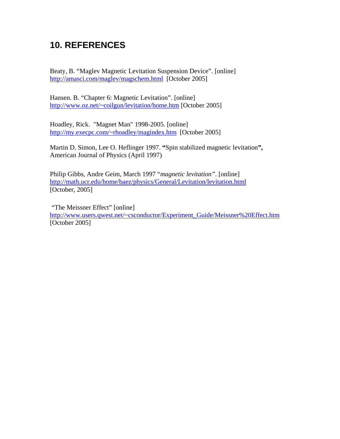# **10. REFERENCES**

Beaty, B. "Maglev Magnetic Levitation Suspension Device"*.* [online] http://amasci.com/maglev/magschem.html [October 2005]

Hansen. B. "Chapter 6: Magnetic Levitation". [online] http://www.oz.net/~coilgun/levitation/home.htm [October 2005]

Hoadley, Rick. "Magnet Man" 1998-2005. [online] http://my.execpc.com/~rhoadley/magindex.htm [October 2005]

Martin D. Simon, Lee O. Heflinger 1997. **"**Spin stabilized magnetic levitation**",** American Journal of Physics (April 1997)

Philip Gibbs, Andre Geim, March 1997 "*magnetic levitation"*. [online] http://math.ucr.edu/home/baez/physics/General/Levitation/levitation.html [October, 2005]

 "The Meissner Effect" [online] http://www.users.qwest.net/~csconductor/Experiment\_Guide/Meissner%20Effect.htm [October 2005]